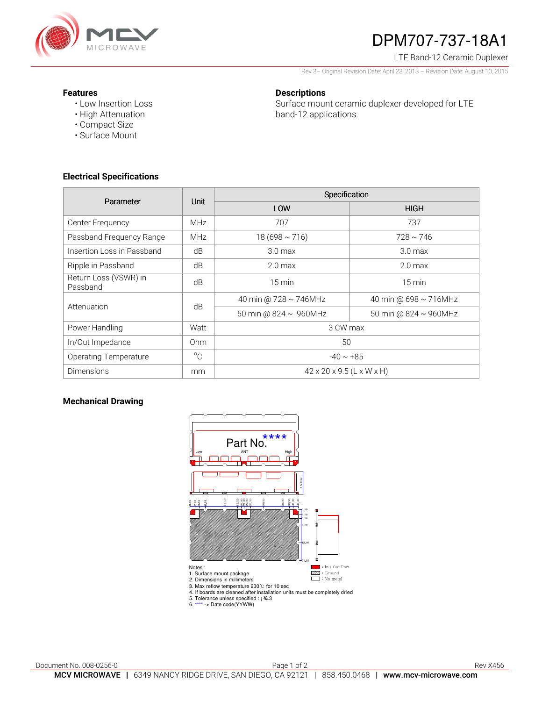

# DPM707-737-18A1

LTE Band-12 Ceramic Duplexer

Rev 3– Original Revision Date: April 23, 2013 – Revision Date: August 10, 2015

#### **Features**

• Low Insertion Loss • High Attenuation

• Compact Size • Surface Mount

#### **Descriptions**

Surface mount ceramic duplexer developed for LTE band-12 applications.

**Electrical Specifications** 

| Parameter                         | <b>Unit</b> | Specification                         |                       |
|-----------------------------------|-------------|---------------------------------------|-----------------------|
|                                   |             | LOW                                   | <b>HIGH</b>           |
| Center Frequency                  | <b>MHz</b>  | 707                                   | 737                   |
| Passband Frequency Range          | <b>MHz</b>  | $18(698 \sim 716)$                    | $728 \sim 746$        |
| Insertion Loss in Passband        | dB          | 3.0 <sub>max</sub>                    | 3.0 <sub>max</sub>    |
| Ripple in Passband                | dB          | 2.0 <sub>max</sub>                    | 2.0 <sub>max</sub>    |
| Return Loss (VSWR) in<br>Passband | dB          | $15 \text{ min}$                      | $15 \text{ min}$      |
| Attenuation                       | dB          | 40 min @ 728 ~ 746MHz                 | 40 min @ 698 ~ 716MHz |
|                                   |             | 50 min @ $824 \sim 960$ MHz           | 50 min @ 824 ~ 960MHz |
| Power Handling                    | Watt        | 3 CW max                              |                       |
| In/Out Impedance                  | Ohm         | 50                                    |                       |
| <b>Operating Temperature</b>      | $^{\circ}C$ | $-40 \sim +85$                        |                       |
| <b>Dimensions</b>                 | mm          | $42 \times 20 \times 9.5$ (L x W x H) |                       |

### **Mechanical Drawing**



3. Max reflow temperature 230℃ for 10 sec 4. If boards are cleaned after installation units must be completely dried

5. Tolerance unless specified : ¡ 30.3

6. \*\*\*\* -> Date code(YYWW)